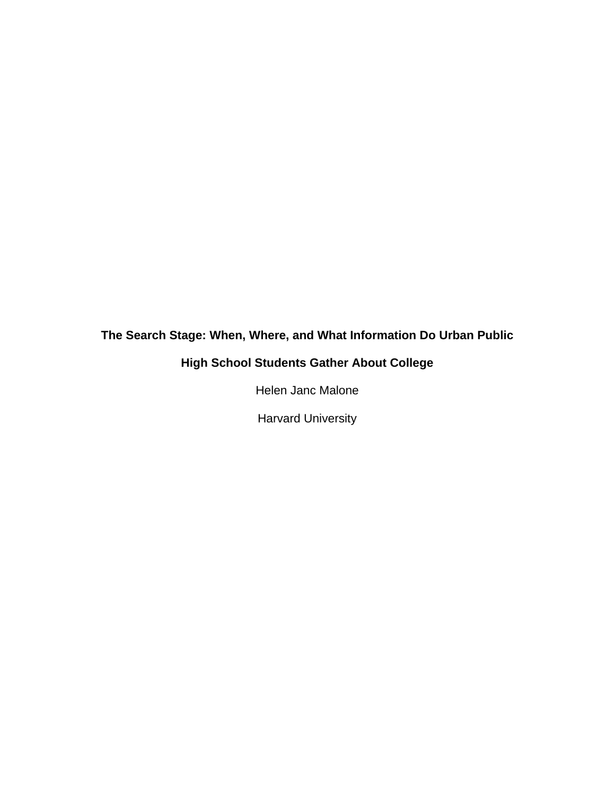# **The Search Stage: When, Where, and What Information Do Urban Public**

# **High School Students Gather About College**

Helen Janc Malone

Harvard University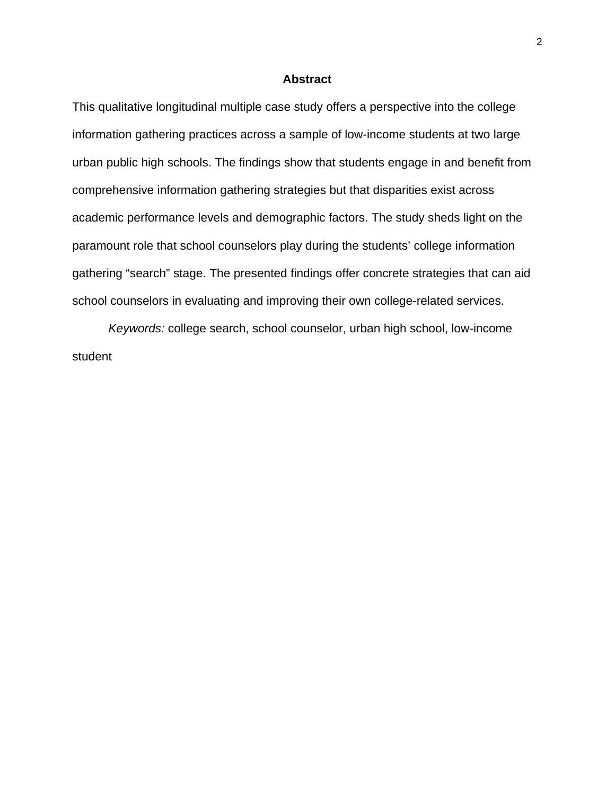## **Abstract**

This qualitative longitudinal multiple case study offers a perspective into the college information gathering practices across a sample of low-income students at two large urban public high schools. The findings show that students engage in and benefit from comprehensive information gathering strategies but that disparities exist across academic performance levels and demographic factors. The study sheds light on the paramount role that school counselors play during the students' college information gathering "search" stage. The presented findings offer concrete strategies that can aid school counselors in evaluating and improving their own college-related services.

*Keywords:* college search, school counselor, urban high school, low-income student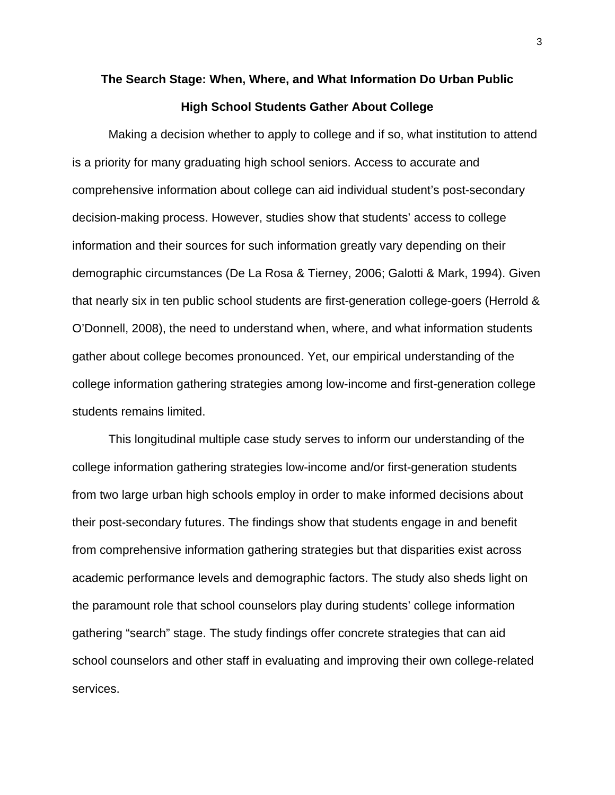# **The Search Stage: When, Where, and What Information Do Urban Public High School Students Gather About College**

Making a decision whether to apply to college and if so, what institution to attend is a priority for many graduating high school seniors. Access to accurate and comprehensive information about college can aid individual student's post-secondary decision-making process. However, studies show that students' access to college information and their sources for such information greatly vary depending on their demographic circumstances (De La Rosa & Tierney, 2006; Galotti & Mark, 1994). Given that nearly six in ten public school students are first-generation college-goers (Herrold & O'Donnell, 2008), the need to understand when, where, and what information students gather about college becomes pronounced. Yet, our empirical understanding of the college information gathering strategies among low-income and first-generation college students remains limited.

This longitudinal multiple case study serves to inform our understanding of the college information gathering strategies low-income and/or first-generation students from two large urban high schools employ in order to make informed decisions about their post-secondary futures. The findings show that students engage in and benefit from comprehensive information gathering strategies but that disparities exist across academic performance levels and demographic factors. The study also sheds light on the paramount role that school counselors play during students' college information gathering "search" stage. The study findings offer concrete strategies that can aid school counselors and other staff in evaluating and improving their own college-related services.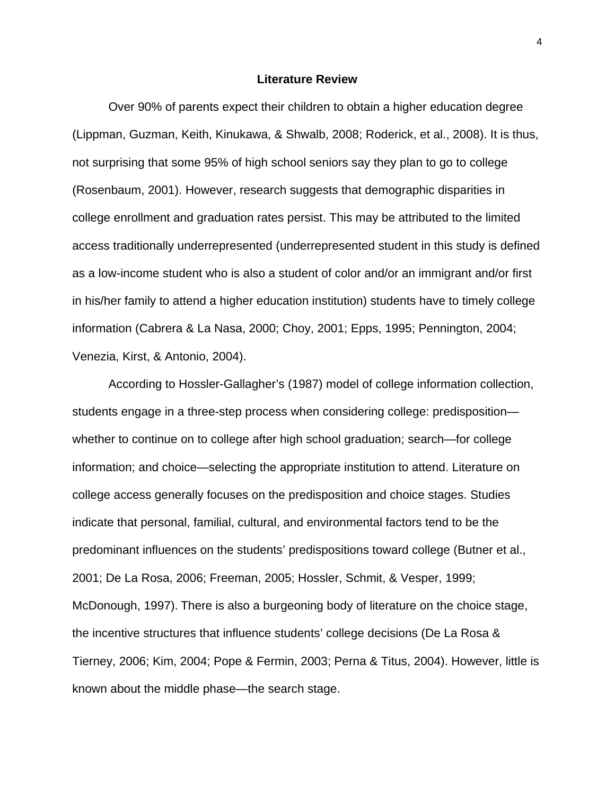#### **Literature Review**

Over 90% of parents expect their children to obtain a higher education degree (Lippman, Guzman, Keith, Kinukawa, & Shwalb, 2008; Roderick, et al., 2008). It is thus, not surprising that some 95% of high school seniors say they plan to go to college (Rosenbaum, 2001). However, research suggests that demographic disparities in college enrollment and graduation rates persist. This may be attributed to the limited access traditionally underrepresented (underrepresented student in this study is defined as a low-income student who is also a student of color and/or an immigrant and/or first in his/her family to attend a higher education institution) students have to timely college information (Cabrera & La Nasa, 2000; Choy, 2001; Epps, 1995; Pennington, 2004; Venezia, Kirst, & Antonio, 2004).

According to Hossler-Gallagher's (1987) model of college information collection, students engage in a three-step process when considering college: predisposition whether to continue on to college after high school graduation; search—for college information; and choice—selecting the appropriate institution to attend. Literature on college access generally focuses on the predisposition and choice stages. Studies indicate that personal, familial, cultural, and environmental factors tend to be the predominant influences on the students' predispositions toward college (Butner et al., 2001; De La Rosa, 2006; Freeman, 2005; Hossler, Schmit, & Vesper, 1999; McDonough, 1997). There is also a burgeoning body of literature on the choice stage, the incentive structures that influence students' college decisions (De La Rosa & Tierney, 2006; Kim, 2004; Pope & Fermin, 2003; Perna & Titus, 2004). However, little is known about the middle phase—the search stage.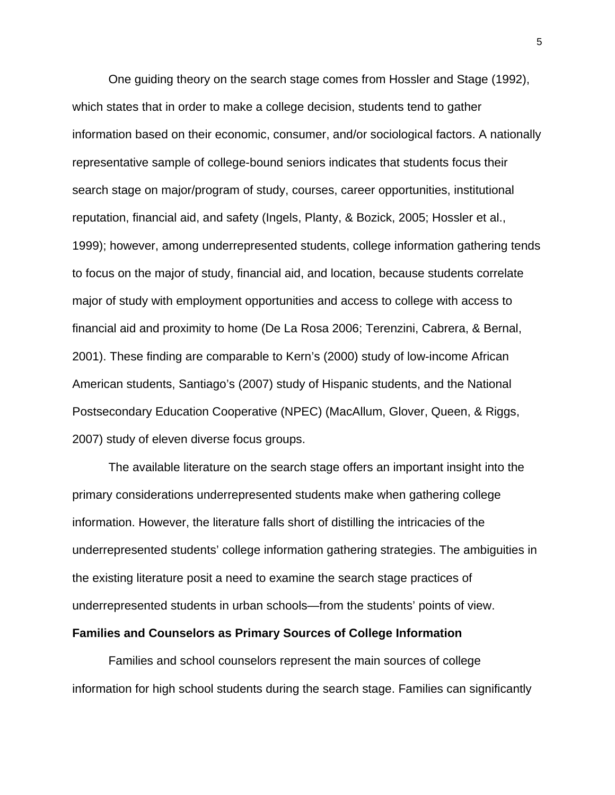One guiding theory on the search stage comes from Hossler and Stage (1992), which states that in order to make a college decision, students tend to gather information based on their economic, consumer, and/or sociological factors. A nationally representative sample of college-bound seniors indicates that students focus their search stage on major/program of study, courses, career opportunities, institutional reputation, financial aid, and safety (Ingels, Planty, & Bozick, 2005; Hossler et al., 1999); however, among underrepresented students, college information gathering tends to focus on the major of study, financial aid, and location, because students correlate major of study with employment opportunities and access to college with access to financial aid and proximity to home (De La Rosa 2006; Terenzini, Cabrera, & Bernal, 2001). These finding are comparable to Kern's (2000) study of low-income African American students, Santiago's (2007) study of Hispanic students, and the National Postsecondary Education Cooperative (NPEC) (MacAllum, Glover, Queen, & Riggs, 2007) study of eleven diverse focus groups.

The available literature on the search stage offers an important insight into the primary considerations underrepresented students make when gathering college information. However, the literature falls short of distilling the intricacies of the underrepresented students' college information gathering strategies. The ambiguities in the existing literature posit a need to examine the search stage practices of underrepresented students in urban schools—from the students' points of view.

#### **Families and Counselors as Primary Sources of College Information**

Families and school counselors represent the main sources of college information for high school students during the search stage. Families can significantly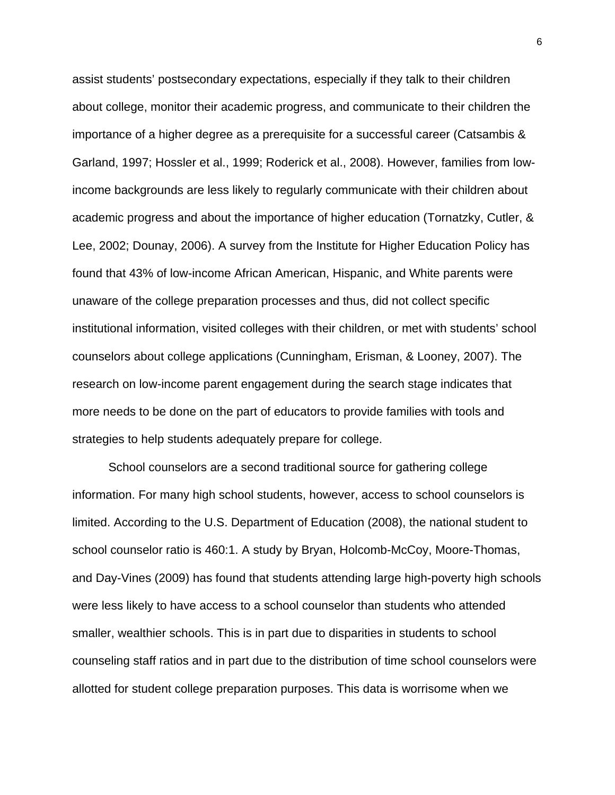assist students' postsecondary expectations, especially if they talk to their children about college, monitor their academic progress, and communicate to their children the importance of a higher degree as a prerequisite for a successful career (Catsambis & Garland, 1997; Hossler et al., 1999; Roderick et al., 2008). However, families from lowincome backgrounds are less likely to regularly communicate with their children about academic progress and about the importance of higher education (Tornatzky, Cutler, & Lee, 2002; Dounay, 2006). A survey from the Institute for Higher Education Policy has found that 43% of low-income African American, Hispanic, and White parents were unaware of the college preparation processes and thus, did not collect specific institutional information, visited colleges with their children, or met with students' school counselors about college applications (Cunningham, Erisman, & Looney, 2007). The research on low-income parent engagement during the search stage indicates that more needs to be done on the part of educators to provide families with tools and strategies to help students adequately prepare for college.

School counselors are a second traditional source for gathering college information. For many high school students, however, access to school counselors is limited. According to the U.S. Department of Education (2008), the national student to school counselor ratio is 460:1. A study by Bryan, Holcomb-McCoy, Moore-Thomas, and Day-Vines (2009) has found that students attending large high-poverty high schools were less likely to have access to a school counselor than students who attended smaller, wealthier schools. This is in part due to disparities in students to school counseling staff ratios and in part due to the distribution of time school counselors were allotted for student college preparation purposes. This data is worrisome when we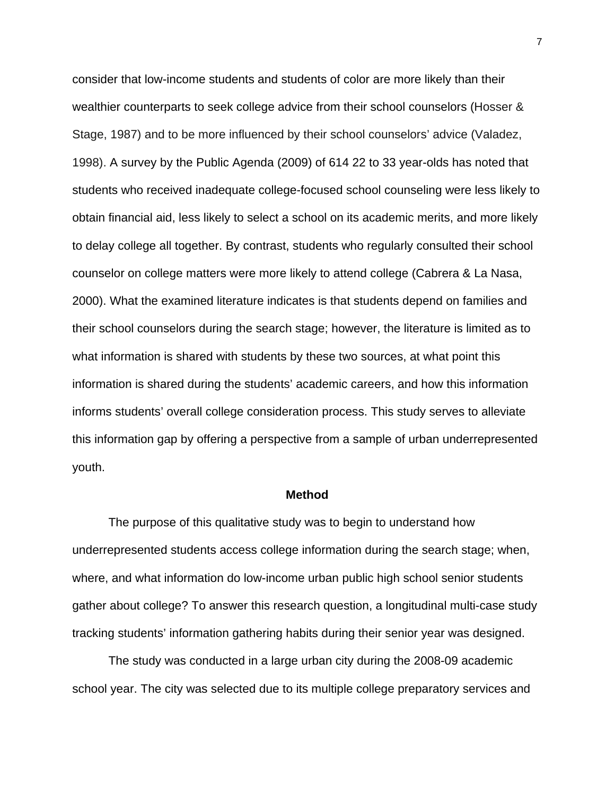consider that low-income students and students of color are more likely than their wealthier counterparts to seek college advice from their school counselors (Hosser & Stage, 1987) and to be more influenced by their school counselors' advice (Valadez, 1998). A survey by the Public Agenda (2009) of 614 22 to 33 year-olds has noted that students who received inadequate college-focused school counseling were less likely to obtain financial aid, less likely to select a school on its academic merits, and more likely to delay college all together. By contrast, students who regularly consulted their school counselor on college matters were more likely to attend college (Cabrera & La Nasa, 2000). What the examined literature indicates is that students depend on families and their school counselors during the search stage; however, the literature is limited as to what information is shared with students by these two sources, at what point this information is shared during the students' academic careers, and how this information informs students' overall college consideration process. This study serves to alleviate this information gap by offering a perspective from a sample of urban underrepresented youth.

## **Method**

The purpose of this qualitative study was to begin to understand how underrepresented students access college information during the search stage; when, where, and what information do low-income urban public high school senior students gather about college? To answer this research question, a longitudinal multi-case study tracking students' information gathering habits during their senior year was designed.

The study was conducted in a large urban city during the 2008-09 academic school year. The city was selected due to its multiple college preparatory services and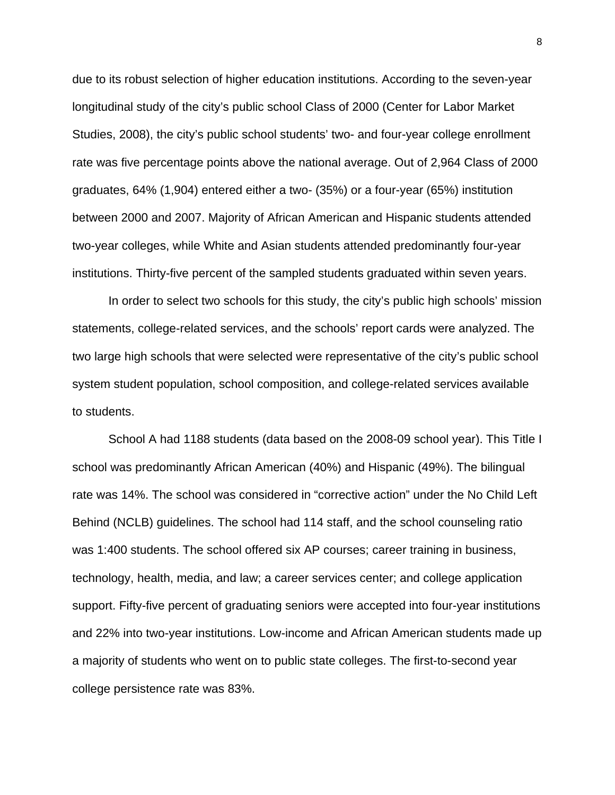due to its robust selection of higher education institutions. According to the seven-year longitudinal study of the city's public school Class of 2000 (Center for Labor Market Studies, 2008), the city's public school students' two- and four-year college enrollment rate was five percentage points above the national average. Out of 2,964 Class of 2000 graduates, 64% (1,904) entered either a two- (35%) or a four-year (65%) institution between 2000 and 2007. Majority of African American and Hispanic students attended two-year colleges, while White and Asian students attended predominantly four-year institutions. Thirty-five percent of the sampled students graduated within seven years.

In order to select two schools for this study, the city's public high schools' mission statements, college-related services, and the schools' report cards were analyzed. The two large high schools that were selected were representative of the city's public school system student population, school composition, and college-related services available to students.

School A had 1188 students (data based on the 2008-09 school year). This Title I school was predominantly African American (40%) and Hispanic (49%). The bilingual rate was 14%. The school was considered in "corrective action" under the No Child Left Behind (NCLB) guidelines. The school had 114 staff, and the school counseling ratio was 1:400 students. The school offered six AP courses; career training in business, technology, health, media, and law; a career services center; and college application support. Fifty-five percent of graduating seniors were accepted into four-year institutions and 22% into two-year institutions. Low-income and African American students made up a majority of students who went on to public state colleges. The first-to-second year college persistence rate was 83%.

8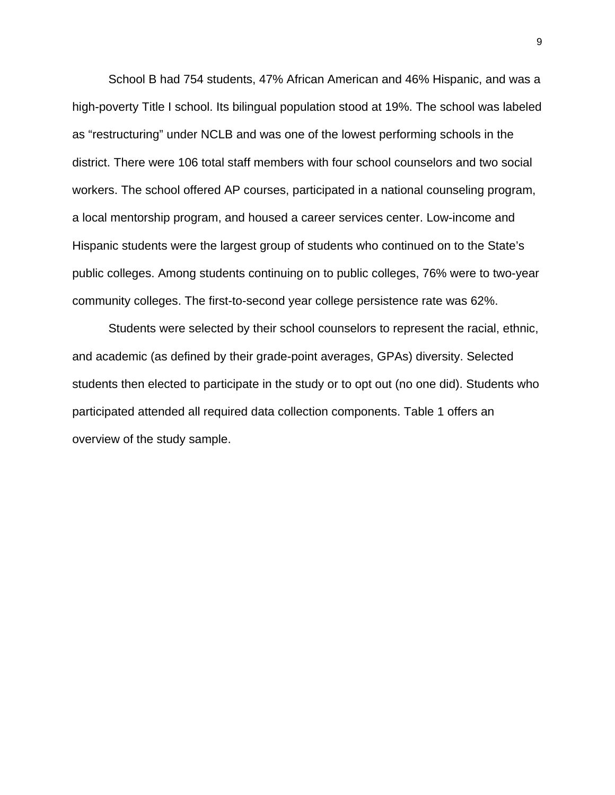School B had 754 students, 47% African American and 46% Hispanic, and was a high-poverty Title I school. Its bilingual population stood at 19%. The school was labeled as "restructuring" under NCLB and was one of the lowest performing schools in the district. There were 106 total staff members with four school counselors and two social workers. The school offered AP courses, participated in a national counseling program, a local mentorship program, and housed a career services center. Low-income and Hispanic students were the largest group of students who continued on to the State's public colleges. Among students continuing on to public colleges, 76% were to two-year community colleges. The first-to-second year college persistence rate was 62%.

Students were selected by their school counselors to represent the racial, ethnic, and academic (as defined by their grade-point averages, GPAs) diversity. Selected students then elected to participate in the study or to opt out (no one did). Students who participated attended all required data collection components. Table 1 offers an overview of the study sample.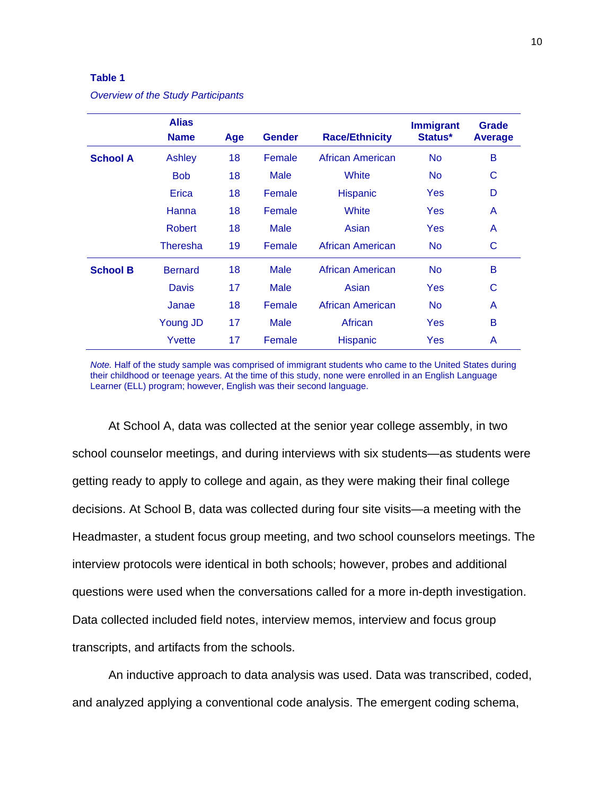#### **Table 1**

|                 | <b>Alias</b><br><b>Name</b> | Age | <b>Gender</b> | <b>Race/Ethnicity</b> | <b>Immigrant</b><br>Status* | <b>Grade</b><br><b>Average</b> |
|-----------------|-----------------------------|-----|---------------|-----------------------|-----------------------------|--------------------------------|
| <b>School A</b> | <b>Ashley</b>               | 18  | Female        | African American      | <b>No</b>                   | B                              |
|                 | <b>Bob</b>                  | 18  | <b>Male</b>   | White                 | <b>No</b>                   | C                              |
|                 | Erica                       | 18  | Female        | Hispanic              | Yes                         | D                              |
|                 | Hanna                       | 18  | Female        | White                 | Yes                         | A                              |
|                 | <b>Robert</b>               | 18  | <b>Male</b>   | Asian                 | Yes                         | A                              |
|                 | <b>Theresha</b>             | 19  | Female        | African American      | <b>No</b>                   | С                              |
| <b>School B</b> | <b>Bernard</b>              | 18  | <b>Male</b>   | African American      | <b>No</b>                   | B                              |
|                 | <b>Davis</b>                | 17  | <b>Male</b>   | Asian                 | Yes                         | C                              |
|                 | Janae                       | 18  | Female        | African American      | <b>No</b>                   | A                              |
|                 | Young JD                    | 17  | <b>Male</b>   | African               | Yes                         | B                              |
|                 | Yvette                      | 17  | Female        | <b>Hispanic</b>       | Yes                         | A                              |

*Overview of the Study Participants* 

*Note.* Half of the study sample was comprised of immigrant students who came to the United States during their childhood or teenage years. At the time of this study, none were enrolled in an English Language Learner (ELL) program; however, English was their second language.

At School A, data was collected at the senior year college assembly, in two school counselor meetings, and during interviews with six students—as students were getting ready to apply to college and again, as they were making their final college decisions. At School B, data was collected during four site visits—a meeting with the Headmaster, a student focus group meeting, and two school counselors meetings. The interview protocols were identical in both schools; however, probes and additional questions were used when the conversations called for a more in-depth investigation. Data collected included field notes, interview memos, interview and focus group transcripts, and artifacts from the schools.

An inductive approach to data analysis was used. Data was transcribed, coded, and analyzed applying a conventional code analysis. The emergent coding schema,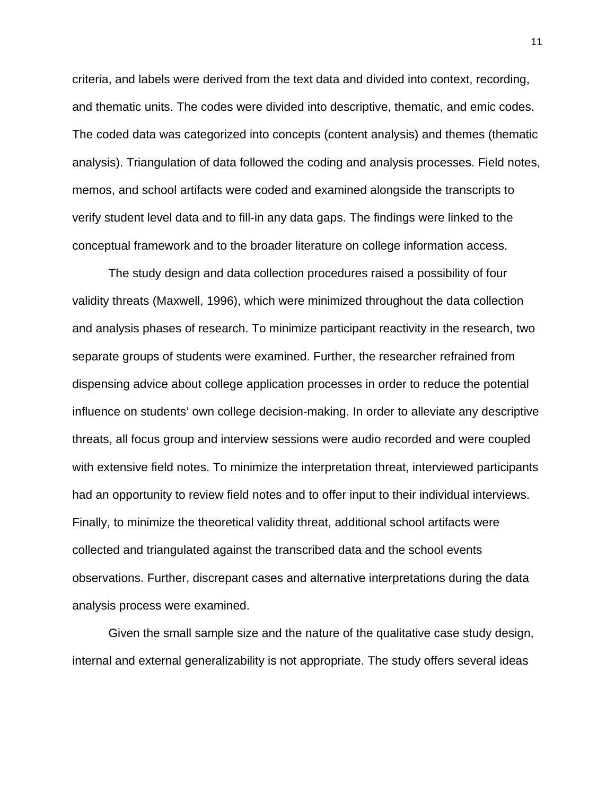criteria, and labels were derived from the text data and divided into context, recording, and thematic units. The codes were divided into descriptive, thematic, and emic codes. The coded data was categorized into concepts (content analysis) and themes (thematic analysis). Triangulation of data followed the coding and analysis processes. Field notes, memos, and school artifacts were coded and examined alongside the transcripts to verify student level data and to fill-in any data gaps. The findings were linked to the conceptual framework and to the broader literature on college information access.

The study design and data collection procedures raised a possibility of four validity threats (Maxwell, 1996), which were minimized throughout the data collection and analysis phases of research. To minimize participant reactivity in the research, two separate groups of students were examined. Further, the researcher refrained from dispensing advice about college application processes in order to reduce the potential influence on students' own college decision-making. In order to alleviate any descriptive threats, all focus group and interview sessions were audio recorded and were coupled with extensive field notes. To minimize the interpretation threat, interviewed participants had an opportunity to review field notes and to offer input to their individual interviews. Finally, to minimize the theoretical validity threat, additional school artifacts were collected and triangulated against the transcribed data and the school events observations. Further, discrepant cases and alternative interpretations during the data analysis process were examined.

Given the small sample size and the nature of the qualitative case study design, internal and external generalizability is not appropriate. The study offers several ideas

11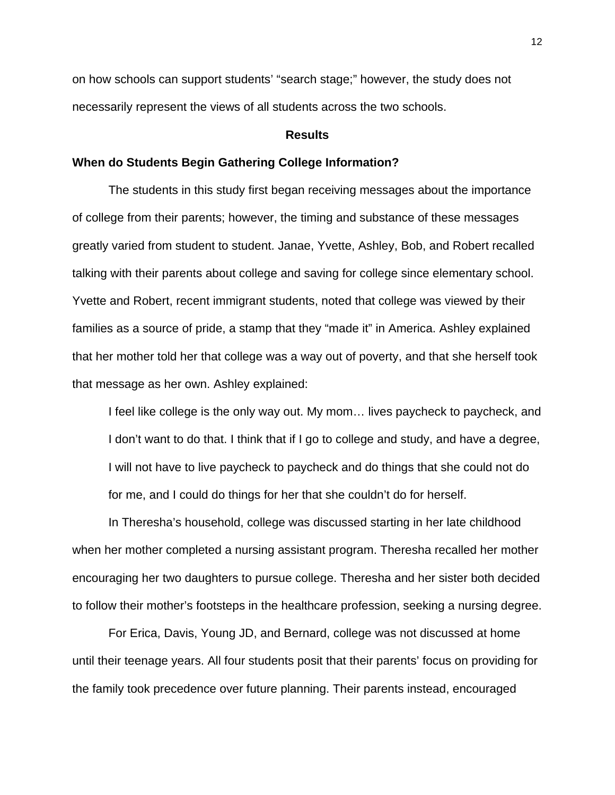on how schools can support students' "search stage;" however, the study does not necessarily represent the views of all students across the two schools.

# **Results**

#### **When do Students Begin Gathering College Information?**

The students in this study first began receiving messages about the importance of college from their parents; however, the timing and substance of these messages greatly varied from student to student. Janae, Yvette, Ashley, Bob, and Robert recalled talking with their parents about college and saving for college since elementary school. Yvette and Robert, recent immigrant students, noted that college was viewed by their families as a source of pride, a stamp that they "made it" in America. Ashley explained that her mother told her that college was a way out of poverty, and that she herself took that message as her own. Ashley explained:

I feel like college is the only way out. My mom… lives paycheck to paycheck, and I don't want to do that. I think that if I go to college and study, and have a degree, I will not have to live paycheck to paycheck and do things that she could not do for me, and I could do things for her that she couldn't do for herself.

In Theresha's household, college was discussed starting in her late childhood when her mother completed a nursing assistant program. Theresha recalled her mother encouraging her two daughters to pursue college. Theresha and her sister both decided to follow their mother's footsteps in the healthcare profession, seeking a nursing degree.

For Erica, Davis, Young JD, and Bernard, college was not discussed at home until their teenage years. All four students posit that their parents' focus on providing for the family took precedence over future planning. Their parents instead, encouraged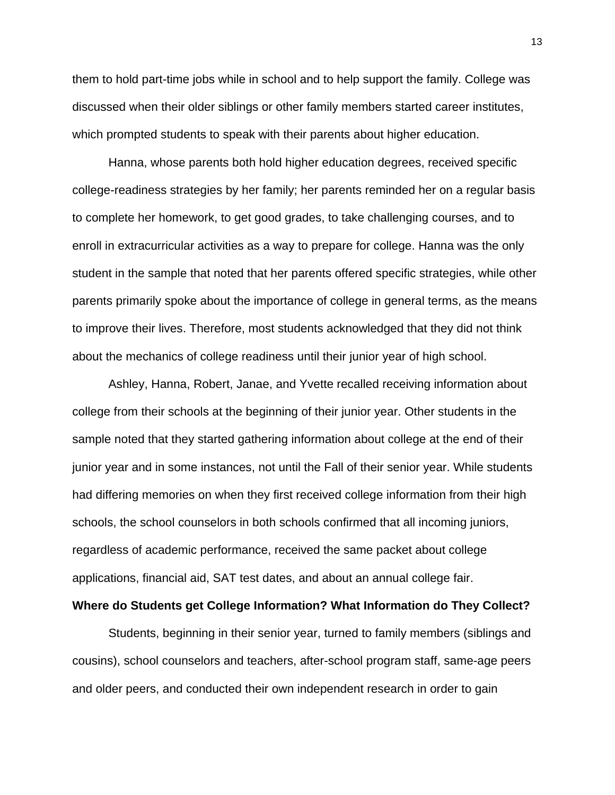them to hold part-time jobs while in school and to help support the family. College was discussed when their older siblings or other family members started career institutes, which prompted students to speak with their parents about higher education.

Hanna, whose parents both hold higher education degrees, received specific college-readiness strategies by her family; her parents reminded her on a regular basis to complete her homework, to get good grades, to take challenging courses, and to enroll in extracurricular activities as a way to prepare for college. Hanna was the only student in the sample that noted that her parents offered specific strategies, while other parents primarily spoke about the importance of college in general terms, as the means to improve their lives. Therefore, most students acknowledged that they did not think about the mechanics of college readiness until their junior year of high school.

Ashley, Hanna, Robert, Janae, and Yvette recalled receiving information about college from their schools at the beginning of their junior year. Other students in the sample noted that they started gathering information about college at the end of their junior year and in some instances, not until the Fall of their senior year. While students had differing memories on when they first received college information from their high schools, the school counselors in both schools confirmed that all incoming juniors, regardless of academic performance, received the same packet about college applications, financial aid, SAT test dates, and about an annual college fair.

## **Where do Students get College Information? What Information do They Collect?**

Students, beginning in their senior year, turned to family members (siblings and cousins), school counselors and teachers, after-school program staff, same-age peers and older peers, and conducted their own independent research in order to gain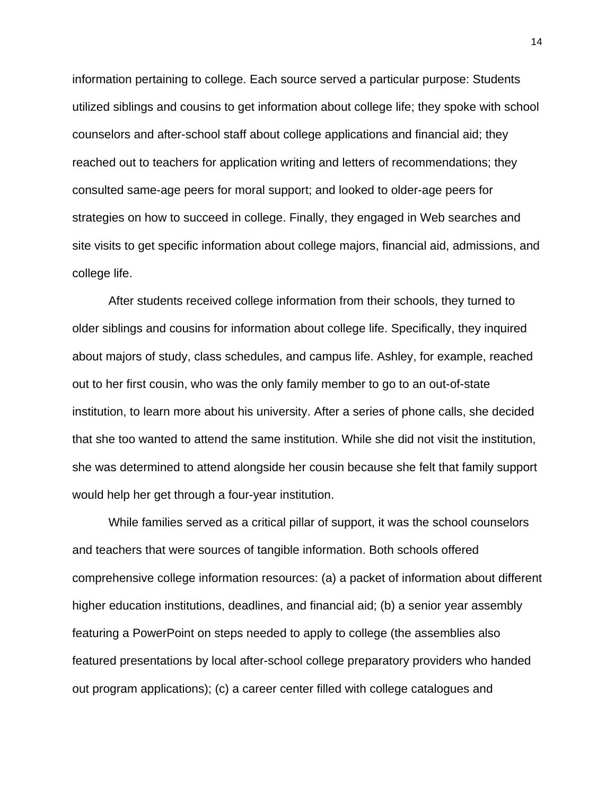information pertaining to college. Each source served a particular purpose: Students utilized siblings and cousins to get information about college life; they spoke with school counselors and after-school staff about college applications and financial aid; they reached out to teachers for application writing and letters of recommendations; they consulted same-age peers for moral support; and looked to older-age peers for strategies on how to succeed in college. Finally, they engaged in Web searches and site visits to get specific information about college majors, financial aid, admissions, and college life.

After students received college information from their schools, they turned to older siblings and cousins for information about college life. Specifically, they inquired about majors of study, class schedules, and campus life. Ashley, for example, reached out to her first cousin, who was the only family member to go to an out-of-state institution, to learn more about his university. After a series of phone calls, she decided that she too wanted to attend the same institution. While she did not visit the institution, she was determined to attend alongside her cousin because she felt that family support would help her get through a four-year institution.

While families served as a critical pillar of support, it was the school counselors and teachers that were sources of tangible information. Both schools offered comprehensive college information resources: (a) a packet of information about different higher education institutions, deadlines, and financial aid; (b) a senior year assembly featuring a PowerPoint on steps needed to apply to college (the assemblies also featured presentations by local after-school college preparatory providers who handed out program applications); (c) a career center filled with college catalogues and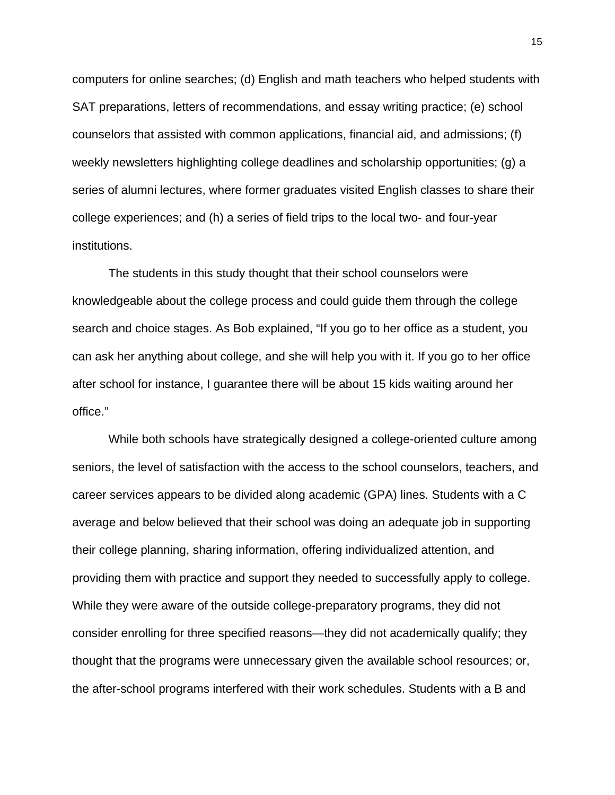computers for online searches; (d) English and math teachers who helped students with SAT preparations, letters of recommendations, and essay writing practice; (e) school counselors that assisted with common applications, financial aid, and admissions; (f) weekly newsletters highlighting college deadlines and scholarship opportunities; (g) a series of alumni lectures, where former graduates visited English classes to share their college experiences; and (h) a series of field trips to the local two- and four-year institutions.

The students in this study thought that their school counselors were knowledgeable about the college process and could guide them through the college search and choice stages. As Bob explained, "If you go to her office as a student, you can ask her anything about college, and she will help you with it. If you go to her office after school for instance, I guarantee there will be about 15 kids waiting around her office."

While both schools have strategically designed a college-oriented culture among seniors, the level of satisfaction with the access to the school counselors, teachers, and career services appears to be divided along academic (GPA) lines. Students with a C average and below believed that their school was doing an adequate job in supporting their college planning, sharing information, offering individualized attention, and providing them with practice and support they needed to successfully apply to college. While they were aware of the outside college-preparatory programs, they did not consider enrolling for three specified reasons—they did not academically qualify; they thought that the programs were unnecessary given the available school resources; or, the after-school programs interfered with their work schedules. Students with a B and

15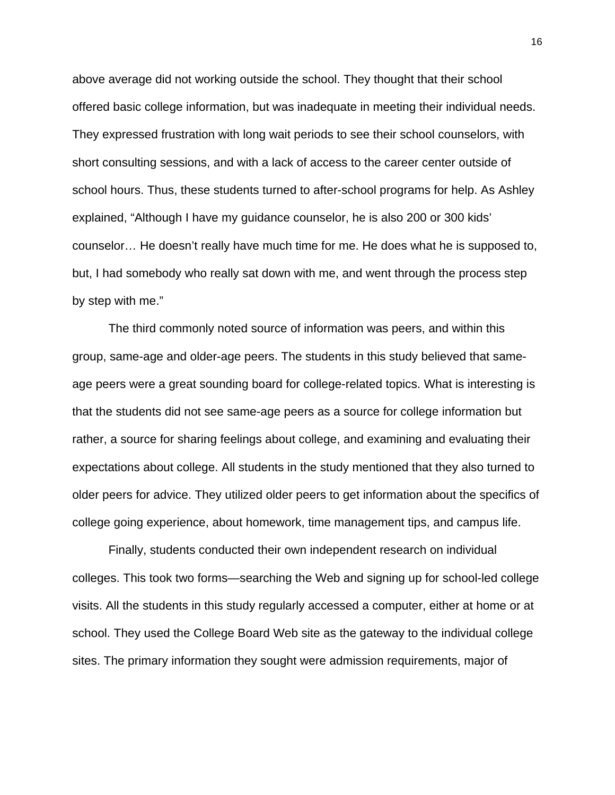above average did not working outside the school. They thought that their school offered basic college information, but was inadequate in meeting their individual needs. They expressed frustration with long wait periods to see their school counselors, with short consulting sessions, and with a lack of access to the career center outside of school hours. Thus, these students turned to after-school programs for help. As Ashley explained, "Although I have my guidance counselor, he is also 200 or 300 kids' counselor… He doesn't really have much time for me. He does what he is supposed to, but, I had somebody who really sat down with me, and went through the process step by step with me."

The third commonly noted source of information was peers, and within this group, same-age and older-age peers. The students in this study believed that sameage peers were a great sounding board for college-related topics. What is interesting is that the students did not see same-age peers as a source for college information but rather, a source for sharing feelings about college, and examining and evaluating their expectations about college. All students in the study mentioned that they also turned to older peers for advice. They utilized older peers to get information about the specifics of college going experience, about homework, time management tips, and campus life.

Finally, students conducted their own independent research on individual colleges. This took two forms—searching the Web and signing up for school-led college visits. All the students in this study regularly accessed a computer, either at home or at school. They used the College Board Web site as the gateway to the individual college sites. The primary information they sought were admission requirements, major of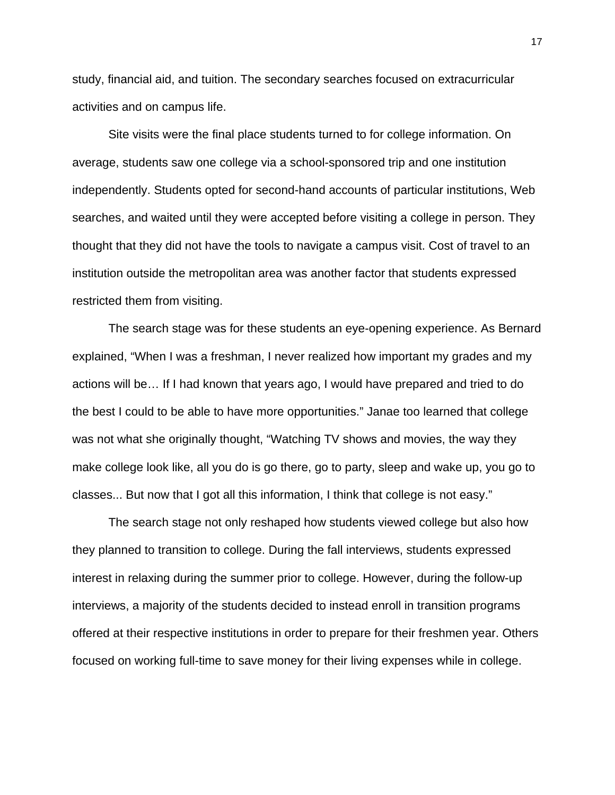study, financial aid, and tuition. The secondary searches focused on extracurricular activities and on campus life.

Site visits were the final place students turned to for college information. On average, students saw one college via a school-sponsored trip and one institution independently. Students opted for second-hand accounts of particular institutions, Web searches, and waited until they were accepted before visiting a college in person. They thought that they did not have the tools to navigate a campus visit. Cost of travel to an institution outside the metropolitan area was another factor that students expressed restricted them from visiting.

The search stage was for these students an eye-opening experience. As Bernard explained, "When I was a freshman, I never realized how important my grades and my actions will be… If I had known that years ago, I would have prepared and tried to do the best I could to be able to have more opportunities." Janae too learned that college was not what she originally thought, "Watching TV shows and movies, the way they make college look like, all you do is go there, go to party, sleep and wake up, you go to classes... But now that I got all this information, I think that college is not easy."

The search stage not only reshaped how students viewed college but also how they planned to transition to college. During the fall interviews, students expressed interest in relaxing during the summer prior to college. However, during the follow-up interviews, a majority of the students decided to instead enroll in transition programs offered at their respective institutions in order to prepare for their freshmen year. Others focused on working full-time to save money for their living expenses while in college.

17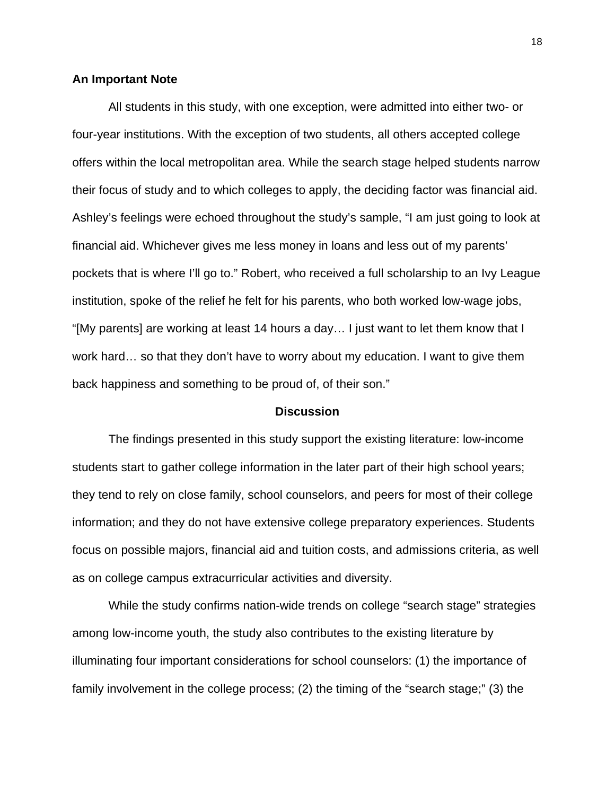#### **An Important Note**

All students in this study, with one exception, were admitted into either two- or four-year institutions. With the exception of two students, all others accepted college offers within the local metropolitan area. While the search stage helped students narrow their focus of study and to which colleges to apply, the deciding factor was financial aid. Ashley's feelings were echoed throughout the study's sample, "I am just going to look at financial aid. Whichever gives me less money in loans and less out of my parents' pockets that is where I'll go to." Robert, who received a full scholarship to an Ivy League institution, spoke of the relief he felt for his parents, who both worked low-wage jobs, "[My parents] are working at least 14 hours a day… I just want to let them know that I work hard… so that they don't have to worry about my education. I want to give them back happiness and something to be proud of, of their son."

#### **Discussion**

The findings presented in this study support the existing literature: low-income students start to gather college information in the later part of their high school years; they tend to rely on close family, school counselors, and peers for most of their college information; and they do not have extensive college preparatory experiences. Students focus on possible majors, financial aid and tuition costs, and admissions criteria, as well as on college campus extracurricular activities and diversity.

While the study confirms nation-wide trends on college "search stage" strategies among low-income youth, the study also contributes to the existing literature by illuminating four important considerations for school counselors: (1) the importance of family involvement in the college process; (2) the timing of the "search stage;" (3) the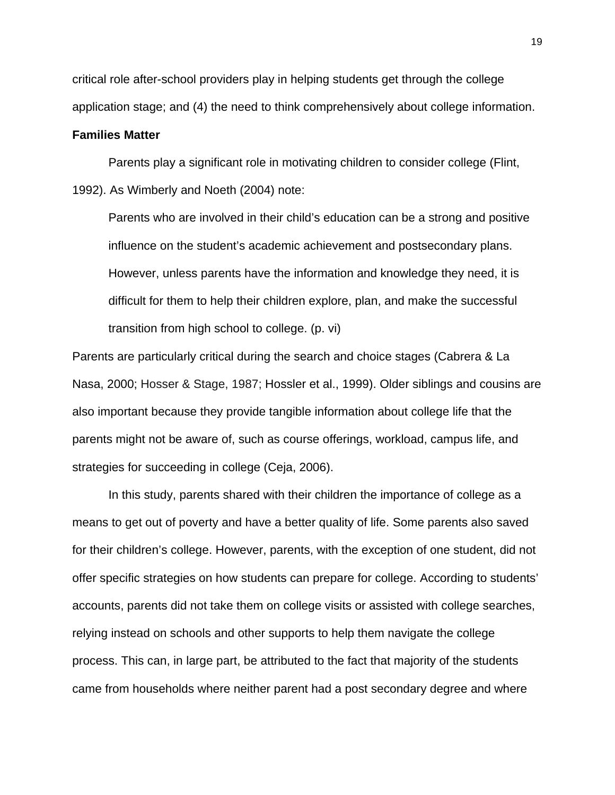critical role after-school providers play in helping students get through the college application stage; and (4) the need to think comprehensively about college information.

## **Families Matter**

Parents play a significant role in motivating children to consider college (Flint, 1992). As Wimberly and Noeth (2004) note:

Parents who are involved in their child's education can be a strong and positive influence on the student's academic achievement and postsecondary plans. However, unless parents have the information and knowledge they need, it is difficult for them to help their children explore, plan, and make the successful transition from high school to college. (p. vi)

Parents are particularly critical during the search and choice stages (Cabrera & La Nasa, 2000; Hosser & Stage, 1987; Hossler et al., 1999). Older siblings and cousins are also important because they provide tangible information about college life that the parents might not be aware of, such as course offerings, workload, campus life, and strategies for succeeding in college (Ceja, 2006).

In this study, parents shared with their children the importance of college as a means to get out of poverty and have a better quality of life. Some parents also saved for their children's college. However, parents, with the exception of one student, did not offer specific strategies on how students can prepare for college. According to students' accounts, parents did not take them on college visits or assisted with college searches, relying instead on schools and other supports to help them navigate the college process. This can, in large part, be attributed to the fact that majority of the students came from households where neither parent had a post secondary degree and where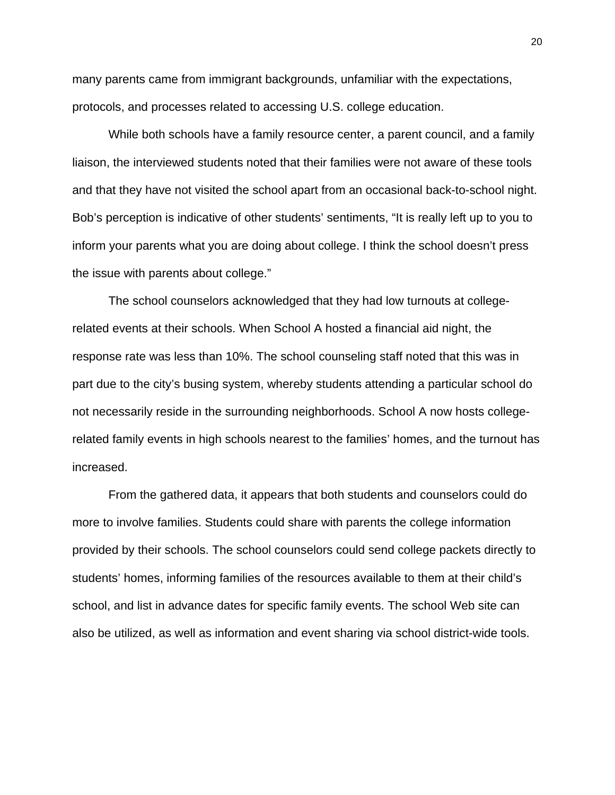many parents came from immigrant backgrounds, unfamiliar with the expectations, protocols, and processes related to accessing U.S. college education.

While both schools have a family resource center, a parent council, and a family liaison, the interviewed students noted that their families were not aware of these tools and that they have not visited the school apart from an occasional back-to-school night. Bob's perception is indicative of other students' sentiments, "It is really left up to you to inform your parents what you are doing about college. I think the school doesn't press the issue with parents about college."

The school counselors acknowledged that they had low turnouts at collegerelated events at their schools. When School A hosted a financial aid night, the response rate was less than 10%. The school counseling staff noted that this was in part due to the city's busing system, whereby students attending a particular school do not necessarily reside in the surrounding neighborhoods. School A now hosts collegerelated family events in high schools nearest to the families' homes, and the turnout has increased.

From the gathered data, it appears that both students and counselors could do more to involve families. Students could share with parents the college information provided by their schools. The school counselors could send college packets directly to students' homes, informing families of the resources available to them at their child's school, and list in advance dates for specific family events. The school Web site can also be utilized, as well as information and event sharing via school district-wide tools.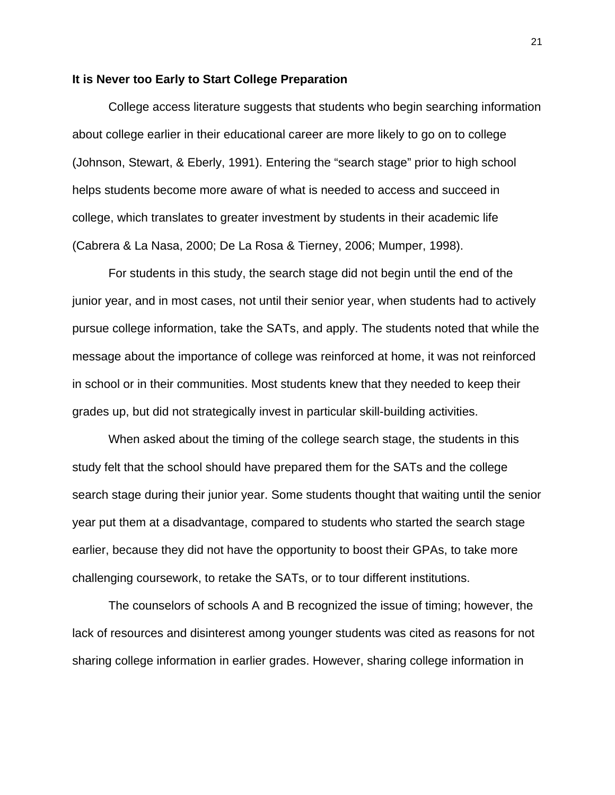#### **It is Never too Early to Start College Preparation**

College access literature suggests that students who begin searching information about college earlier in their educational career are more likely to go on to college (Johnson, Stewart, & Eberly, 1991). Entering the "search stage" prior to high school helps students become more aware of what is needed to access and succeed in college, which translates to greater investment by students in their academic life (Cabrera & La Nasa, 2000; De La Rosa & Tierney, 2006; Mumper, 1998).

For students in this study, the search stage did not begin until the end of the junior year, and in most cases, not until their senior year, when students had to actively pursue college information, take the SATs, and apply. The students noted that while the message about the importance of college was reinforced at home, it was not reinforced in school or in their communities. Most students knew that they needed to keep their grades up, but did not strategically invest in particular skill-building activities.

When asked about the timing of the college search stage, the students in this study felt that the school should have prepared them for the SATs and the college search stage during their junior year. Some students thought that waiting until the senior year put them at a disadvantage, compared to students who started the search stage earlier, because they did not have the opportunity to boost their GPAs, to take more challenging coursework, to retake the SATs, or to tour different institutions.

The counselors of schools A and B recognized the issue of timing; however, the lack of resources and disinterest among younger students was cited as reasons for not sharing college information in earlier grades. However, sharing college information in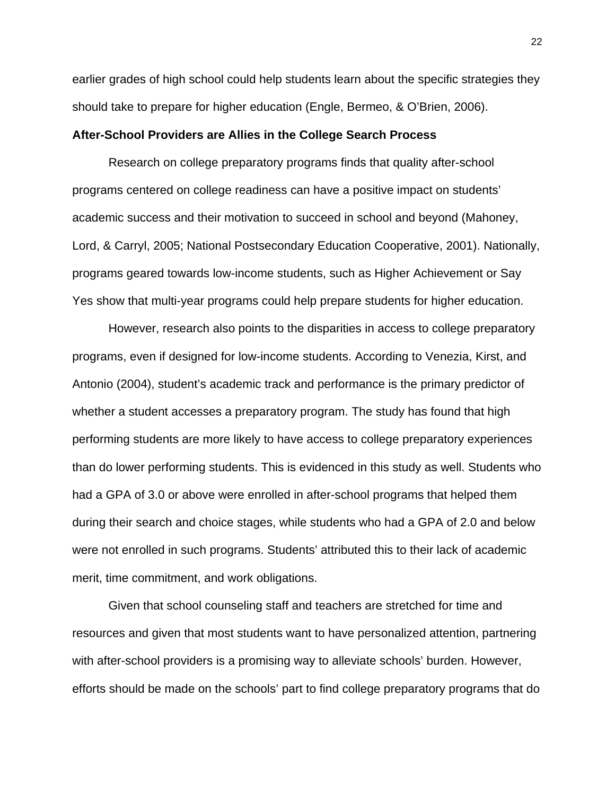earlier grades of high school could help students learn about the specific strategies they should take to prepare for higher education (Engle, Bermeo, & O'Brien, 2006).

#### **After-School Providers are Allies in the College Search Process**

Research on college preparatory programs finds that quality after-school programs centered on college readiness can have a positive impact on students' academic success and their motivation to succeed in school and beyond (Mahoney, Lord, & Carryl, 2005; National Postsecondary Education Cooperative, 2001). Nationally, programs geared towards low-income students, such as Higher Achievement or Say Yes show that multi-year programs could help prepare students for higher education.

However, research also points to the disparities in access to college preparatory programs, even if designed for low-income students. According to Venezia, Kirst, and Antonio (2004), student's academic track and performance is the primary predictor of whether a student accesses a preparatory program. The study has found that high performing students are more likely to have access to college preparatory experiences than do lower performing students. This is evidenced in this study as well. Students who had a GPA of 3.0 or above were enrolled in after-school programs that helped them during their search and choice stages, while students who had a GPA of 2.0 and below were not enrolled in such programs. Students' attributed this to their lack of academic merit, time commitment, and work obligations.

Given that school counseling staff and teachers are stretched for time and resources and given that most students want to have personalized attention, partnering with after-school providers is a promising way to alleviate schools' burden. However, efforts should be made on the schools' part to find college preparatory programs that do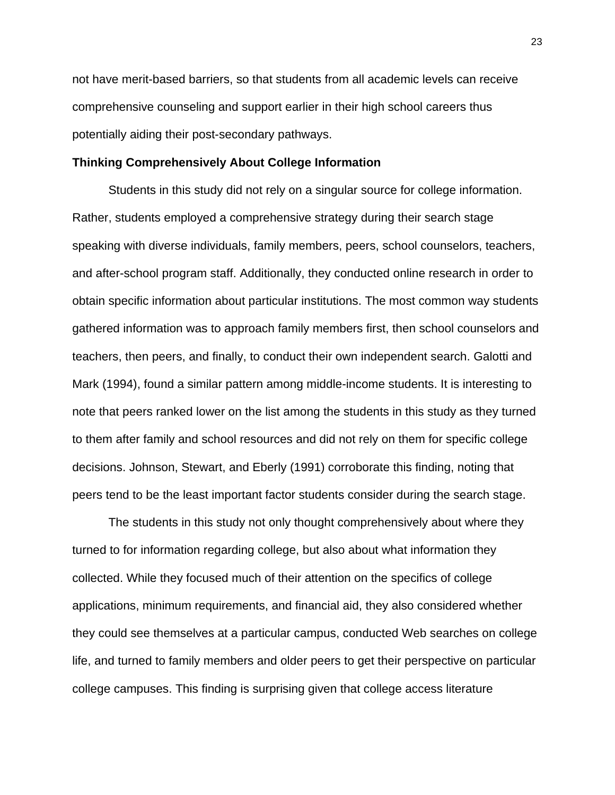not have merit-based barriers, so that students from all academic levels can receive comprehensive counseling and support earlier in their high school careers thus potentially aiding their post-secondary pathways.

## **Thinking Comprehensively About College Information**

Students in this study did not rely on a singular source for college information. Rather, students employed a comprehensive strategy during their search stage speaking with diverse individuals, family members, peers, school counselors, teachers, and after-school program staff. Additionally, they conducted online research in order to obtain specific information about particular institutions. The most common way students gathered information was to approach family members first, then school counselors and teachers, then peers, and finally, to conduct their own independent search. Galotti and Mark (1994), found a similar pattern among middle-income students. It is interesting to note that peers ranked lower on the list among the students in this study as they turned to them after family and school resources and did not rely on them for specific college decisions. Johnson, Stewart, and Eberly (1991) corroborate this finding, noting that peers tend to be the least important factor students consider during the search stage.

The students in this study not only thought comprehensively about where they turned to for information regarding college, but also about what information they collected. While they focused much of their attention on the specifics of college applications, minimum requirements, and financial aid, they also considered whether they could see themselves at a particular campus, conducted Web searches on college life, and turned to family members and older peers to get their perspective on particular college campuses. This finding is surprising given that college access literature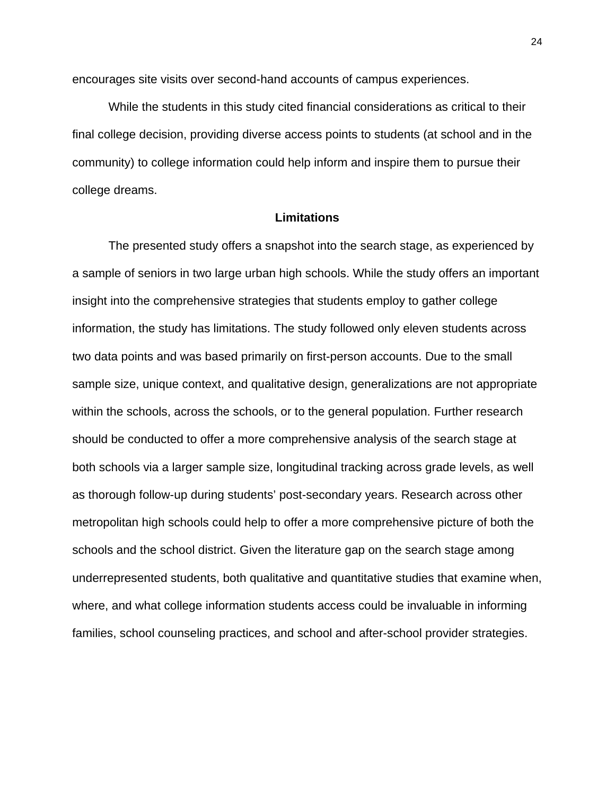encourages site visits over second-hand accounts of campus experiences.

While the students in this study cited financial considerations as critical to their final college decision, providing diverse access points to students (at school and in the community) to college information could help inform and inspire them to pursue their college dreams.

# **Limitations**

The presented study offers a snapshot into the search stage, as experienced by a sample of seniors in two large urban high schools. While the study offers an important insight into the comprehensive strategies that students employ to gather college information, the study has limitations. The study followed only eleven students across two data points and was based primarily on first-person accounts. Due to the small sample size, unique context, and qualitative design, generalizations are not appropriate within the schools, across the schools, or to the general population. Further research should be conducted to offer a more comprehensive analysis of the search stage at both schools via a larger sample size, longitudinal tracking across grade levels, as well as thorough follow-up during students' post-secondary years. Research across other metropolitan high schools could help to offer a more comprehensive picture of both the schools and the school district. Given the literature gap on the search stage among underrepresented students, both qualitative and quantitative studies that examine when, where, and what college information students access could be invaluable in informing families, school counseling practices, and school and after-school provider strategies.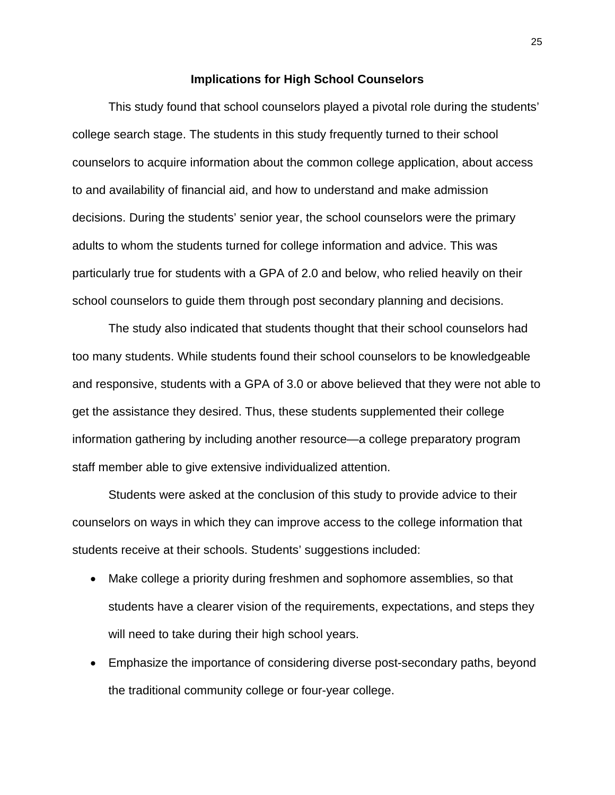#### **Implications for High School Counselors**

This study found that school counselors played a pivotal role during the students' college search stage. The students in this study frequently turned to their school counselors to acquire information about the common college application, about access to and availability of financial aid, and how to understand and make admission decisions. During the students' senior year, the school counselors were the primary adults to whom the students turned for college information and advice. This was particularly true for students with a GPA of 2.0 and below, who relied heavily on their school counselors to guide them through post secondary planning and decisions.

The study also indicated that students thought that their school counselors had too many students. While students found their school counselors to be knowledgeable and responsive, students with a GPA of 3.0 or above believed that they were not able to get the assistance they desired. Thus, these students supplemented their college information gathering by including another resource—a college preparatory program staff member able to give extensive individualized attention.

Students were asked at the conclusion of this study to provide advice to their counselors on ways in which they can improve access to the college information that students receive at their schools. Students' suggestions included:

- Make college a priority during freshmen and sophomore assemblies, so that students have a clearer vision of the requirements, expectations, and steps they will need to take during their high school years.
- Emphasize the importance of considering diverse post-secondary paths, beyond the traditional community college or four-year college.

25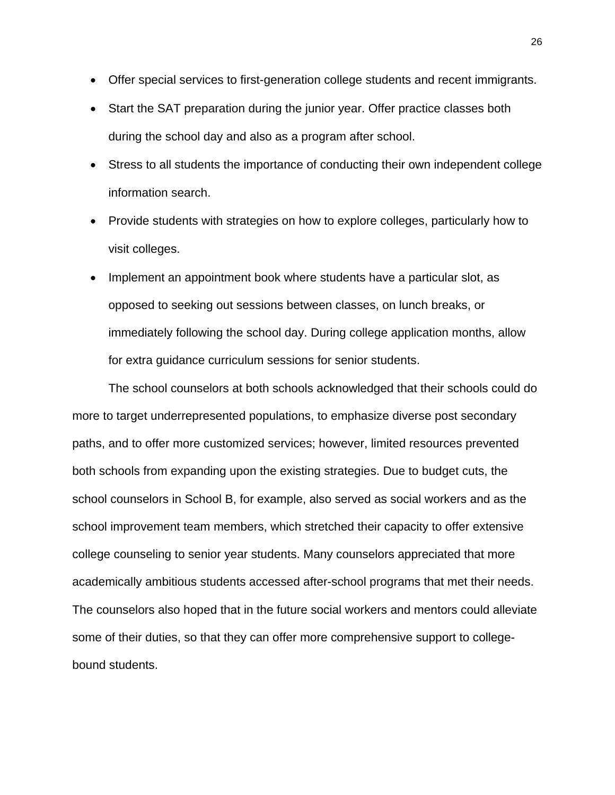- Offer special services to first-generation college students and recent immigrants.
- Start the SAT preparation during the junior year. Offer practice classes both during the school day and also as a program after school.
- Stress to all students the importance of conducting their own independent college information search.
- Provide students with strategies on how to explore colleges, particularly how to visit colleges.
- Implement an appointment book where students have a particular slot, as opposed to seeking out sessions between classes, on lunch breaks, or immediately following the school day. During college application months, allow for extra guidance curriculum sessions for senior students.

The school counselors at both schools acknowledged that their schools could do more to target underrepresented populations, to emphasize diverse post secondary paths, and to offer more customized services; however, limited resources prevented both schools from expanding upon the existing strategies. Due to budget cuts, the school counselors in School B, for example, also served as social workers and as the school improvement team members, which stretched their capacity to offer extensive college counseling to senior year students. Many counselors appreciated that more academically ambitious students accessed after-school programs that met their needs. The counselors also hoped that in the future social workers and mentors could alleviate some of their duties, so that they can offer more comprehensive support to collegebound students.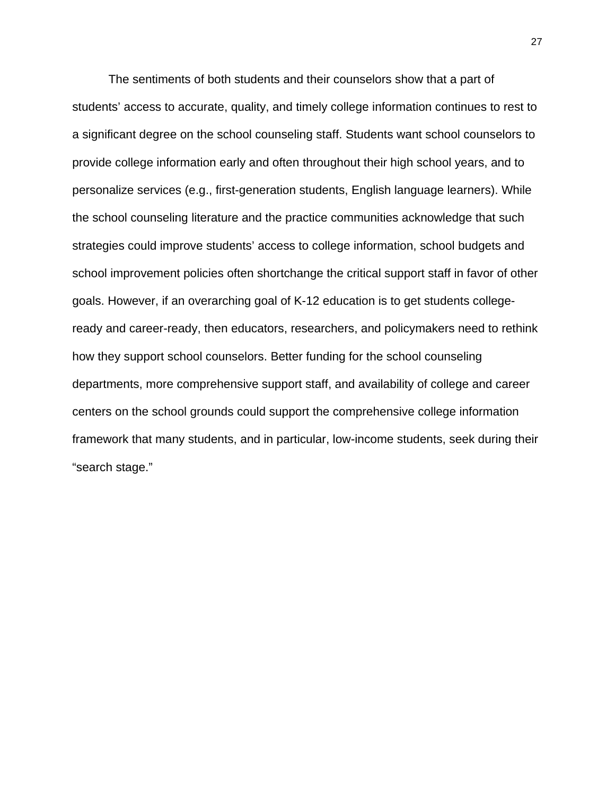The sentiments of both students and their counselors show that a part of students' access to accurate, quality, and timely college information continues to rest to a significant degree on the school counseling staff. Students want school counselors to provide college information early and often throughout their high school years, and to personalize services (e.g., first-generation students, English language learners). While the school counseling literature and the practice communities acknowledge that such strategies could improve students' access to college information, school budgets and school improvement policies often shortchange the critical support staff in favor of other goals. However, if an overarching goal of K-12 education is to get students collegeready and career-ready, then educators, researchers, and policymakers need to rethink how they support school counselors. Better funding for the school counseling departments, more comprehensive support staff, and availability of college and career centers on the school grounds could support the comprehensive college information framework that many students, and in particular, low-income students, seek during their "search stage."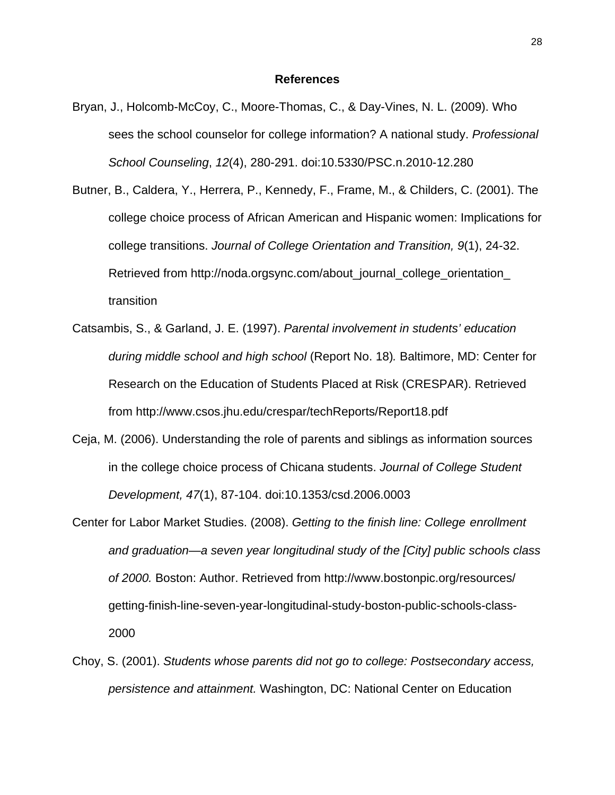#### **References**

- Bryan, J., Holcomb-McCoy, C., Moore-Thomas, C., & Day-Vines, N. L. (2009). Who sees the school counselor for college information? A national study. *Professional School Counseling*, *12*(4), 280-291. doi:10.5330/PSC.n.2010-12.280
- Butner, B., Caldera, Y., Herrera, P., Kennedy, F., Frame, M., & Childers, C. (2001). The college choice process of African American and Hispanic women: Implications for college transitions. *Journal of College Orientation and Transition, 9*(1), 24-32. Retrieved from http://noda.orgsync.com/about\_journal\_college\_orientation\_ transition
- Catsambis, S., & Garland, J. E. (1997). *Parental involvement in students' education during middle school and high school* (Report No. 18)*.* Baltimore, MD: Center for Research on the Education of Students Placed at Risk (CRESPAR). Retrieved from http://www.csos.jhu.edu/crespar/techReports/Report18.pdf
- Ceja, M. (2006). Understanding the role of parents and siblings as information sources in the college choice process of Chicana students. *Journal of College Student Development, 47*(1), 87-104. doi:10.1353/csd.2006.0003
- Center for Labor Market Studies. (2008). *Getting to the finish line: College enrollment and graduation—a seven year longitudinal study of the [City] public schools class of 2000.* Boston: Author. Retrieved from http://www.bostonpic.org/resources/ getting-finish-line-seven-year-longitudinal-study-boston-public-schools-class-2000
- Choy, S. (2001). *Students whose parents did not go to college: Postsecondary access, persistence and attainment.* Washington, DC: National Center on Education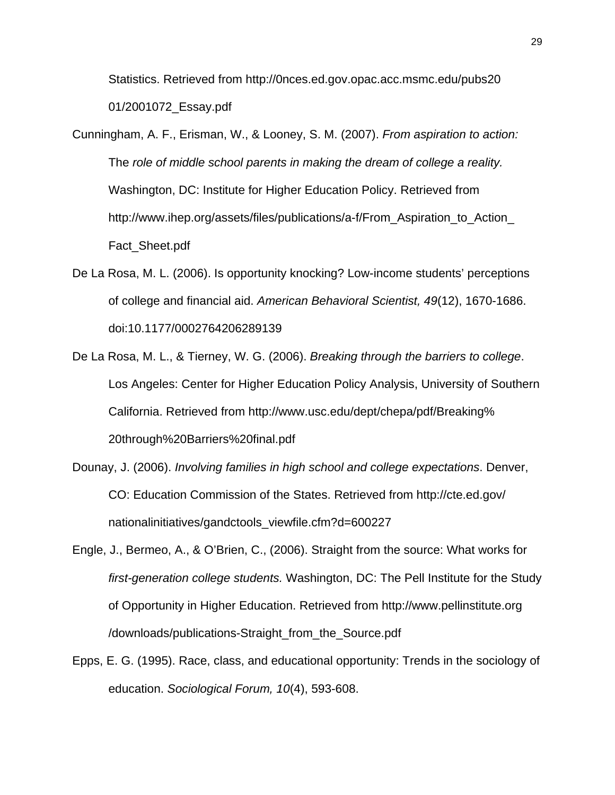Statistics. Retrieved from http://0nces.ed.gov.opac.acc.msmc.edu/pubs20 01/2001072\_Essay.pdf

- Cunningham, A. F., Erisman, W., & Looney, S. M. (2007). *From aspiration to action:*  The *role of middle school parents in making the dream of college a reality.*  Washington, DC: Institute for Higher Education Policy. Retrieved from http://www.ihep.org/assets/files/publications/a-f/From\_Aspiration\_to\_Action\_ Fact\_Sheet.pdf
- De La Rosa, M. L. (2006). Is opportunity knocking? Low-income students' perceptions of college and financial aid. *American Behavioral Scientist, 49*(12), 1670-1686. doi:10.1177/0002764206289139
- De La Rosa, M. L., & Tierney, W. G. (2006). *Breaking through the barriers to college*. Los Angeles: Center for Higher Education Policy Analysis, University of Southern California. Retrieved from http://www.usc.edu/dept/chepa/pdf/Breaking% 20through%20Barriers%20final.pdf
- Dounay, J. (2006). *Involving families in high school and college expectations*. Denver, CO: Education Commission of the States. Retrieved from http://cte.ed.gov/ nationalinitiatives/gandctools\_viewfile.cfm?d=600227
- Engle, J., Bermeo, A., & O'Brien, C., (2006). Straight from the source: What works for *first-generation college students.* Washington, DC: The Pell Institute for the Study of Opportunity in Higher Education. Retrieved from http://www.pellinstitute.org /downloads/publications-Straight\_from\_the\_Source.pdf
- Epps, E. G. (1995). Race, class, and educational opportunity: Trends in the sociology of education. *Sociological Forum, 10*(4), 593-608.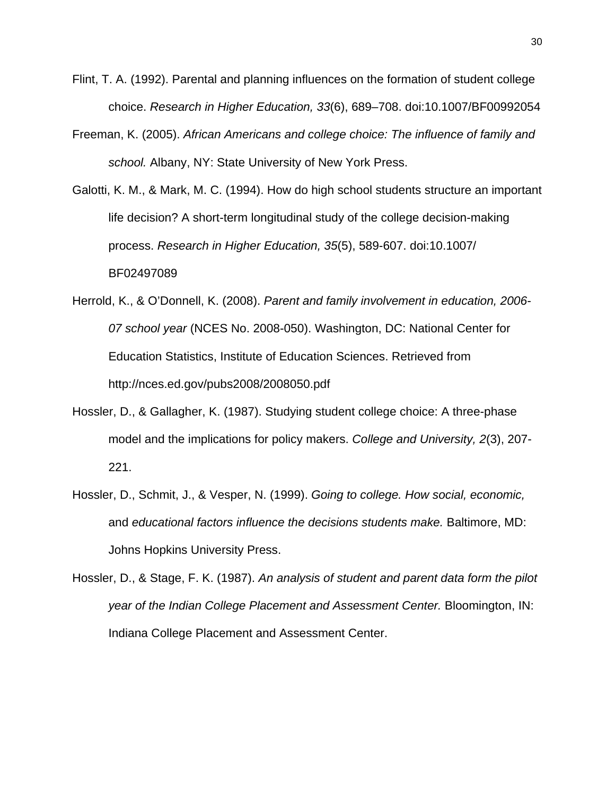- Flint, T. A. (1992). Parental and planning influences on the formation of student college choice. *Research in Higher Education, 33*(6), 689–708. doi:10.1007/BF00992054
- Freeman, K. (2005). *African Americans and college choice: The influence of family and school.* Albany, NY: State University of New York Press.
- Galotti, K. M., & Mark, M. C. (1994). How do high school students structure an important life decision? A short-term longitudinal study of the college decision-making process. *Research in Higher Education, 35*(5), 589-607. doi:10.1007/ BF02497089
- Herrold, K., & O'Donnell, K. (2008). *Parent and family involvement in education, 2006- 07 school year* (NCES No. 2008-050). Washington, DC: National Center for Education Statistics, Institute of Education Sciences. Retrieved from http://nces.ed.gov/pubs2008/2008050.pdf
- Hossler, D., & Gallagher, K. (1987). Studying student college choice: A three-phase model and the implications for policy makers. *College and University, 2*(3), 207- 221.
- Hossler, D., Schmit, J., & Vesper, N. (1999). *Going to college. How social, economic,*  and *educational factors influence the decisions students make.* Baltimore, MD: Johns Hopkins University Press.
- Hossler, D., & Stage, F. K. (1987). *An analysis of student and parent data form the pilot year of the Indian College Placement and Assessment Center.* Bloomington, IN: Indiana College Placement and Assessment Center.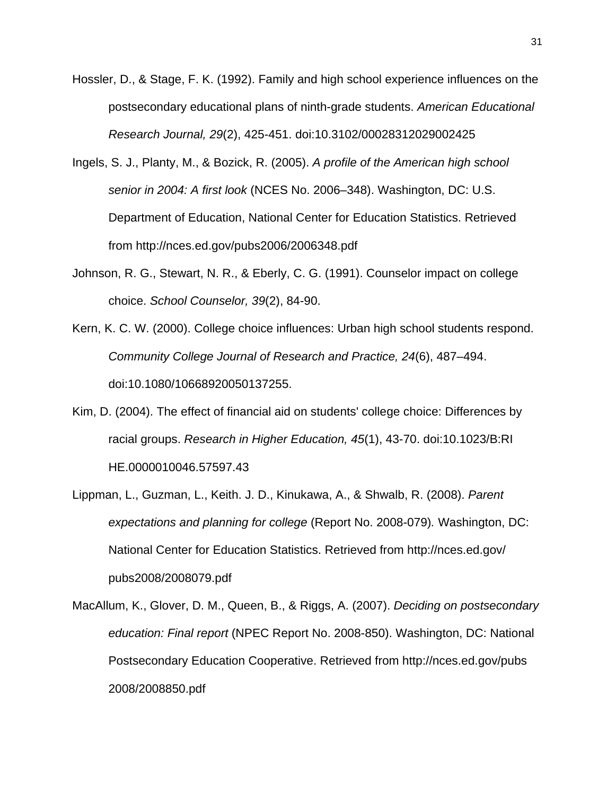- Hossler, D., & Stage, F. K. (1992). Family and high school experience influences on the postsecondary educational plans of ninth-grade students. *American Educational Research Journal, 29*(2), 425-451. doi:10.3102/00028312029002425
- Ingels, S. J., Planty, M., & Bozick, R. (2005). *A profile of the American high school senior in 2004: A first look* (NCES No. 2006–348). Washington, DC: U.S. Department of Education, National Center for Education Statistics. Retrieved from http://nces.ed.gov/pubs2006/2006348.pdf
- Johnson, R. G., Stewart, N. R., & Eberly, C. G. (1991). Counselor impact on college choice. *School Counselor, 39*(2), 84-90.
- Kern, K. C. W. (2000). College choice influences: Urban high school students respond. *Community College Journal of Research and Practice, 24*(6), 487–494. doi:10.1080/10668920050137255.
- Kim, D. (2004). The effect of financial aid on students' college choice: Differences by racial groups. *Research in Higher Education, 45*(1), 43-70. doi:10.1023/B:RI HE.0000010046.57597.43
- Lippman, L., Guzman, L., Keith. J. D., Kinukawa, A., & Shwalb, R. (2008). *Parent expectations and planning for college* (Report No. 2008-079)*.* Washington, DC: National Center for Education Statistics. Retrieved from http://nces.ed.gov/ pubs2008/2008079.pdf
- MacAllum, K., Glover, D. M., Queen, B., & Riggs, A. (2007). *Deciding on postsecondary education: Final report* (NPEC Report No. 2008-850). Washington, DC: National Postsecondary Education Cooperative. Retrieved from http://nces.ed.gov/pubs 2008/2008850.pdf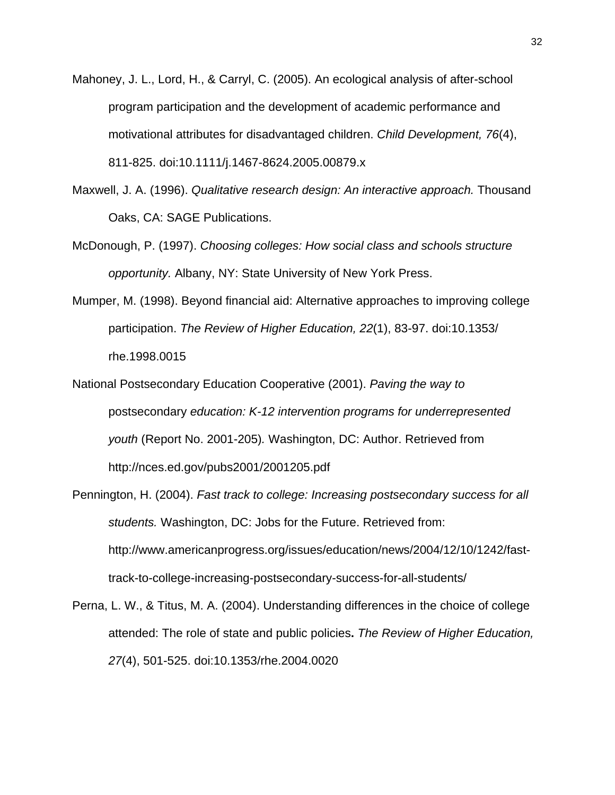- Mahoney, J. L., Lord, H., & Carryl, C. (2005). An ecological analysis of after-school program participation and the development of academic performance and motivational attributes for disadvantaged children. *Child Development, 76*(4), 811-825. doi:10.1111/j.1467-8624.2005.00879.x
- Maxwell, J. A. (1996). *Qualitative research design: An interactive approach.* Thousand Oaks, CA: SAGE Publications.
- McDonough, P. (1997). *Choosing colleges: How social class and schools structure opportunity.* Albany, NY: State University of New York Press.
- Mumper, M. (1998). Beyond financial aid: Alternative approaches to improving college participation. *The Review of Higher Education, 22*(1), 83-97. doi:10.1353/ rhe.1998.0015
- National Postsecondary Education Cooperative (2001). *Paving the way to*  postsecondary *education: K-12 intervention programs for underrepresented youth* (Report No. 2001-205)*.* Washington, DC: Author. Retrieved from http://nces.ed.gov/pubs2001/2001205.pdf
- Pennington, H. (2004). *Fast track to college: Increasing postsecondary success for all students.* Washington, DC: Jobs for the Future. Retrieved from: http://www.americanprogress.org/issues/education/news/2004/12/10/1242/fasttrack-to-college-increasing-postsecondary-success-for-all-students/
- Perna, L. W., & Titus, M. A. (2004). Understanding differences in the choice of college attended: The role of state and public policies**.** *The Review of Higher Education, 27*(4), 501-525. doi:10.1353/rhe.2004.0020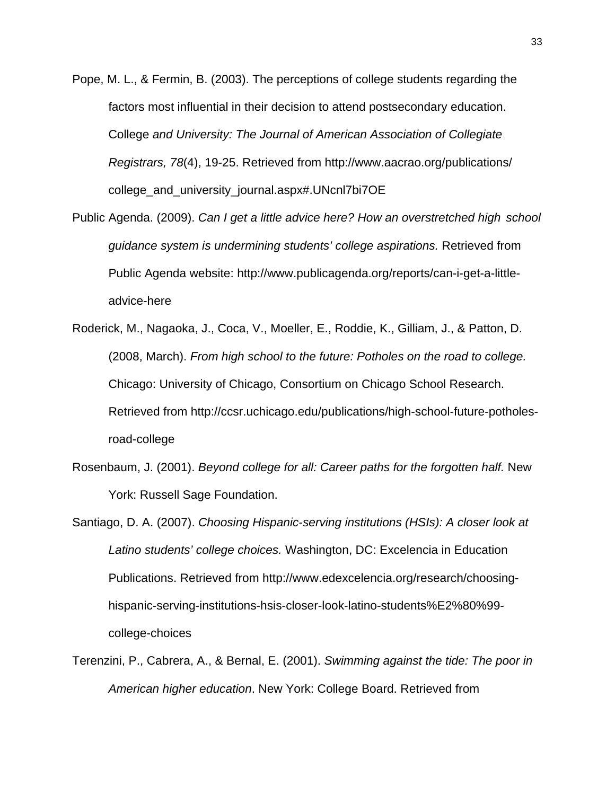- Pope, M. L., & Fermin, B. (2003). The perceptions of college students regarding the factors most influential in their decision to attend postsecondary education. College *and University: The Journal of American Association of Collegiate Registrars, 78*(4), 19-25. Retrieved from http://www.aacrao.org/publications/ college and university journal.aspx#.UNcnl7bi7OE
- Public Agenda. (2009). *Can I get a little advice here? How an overstretched high school guidance system is undermining students' college aspirations.* Retrieved from Public Agenda website: http://www.publicagenda.org/reports/can-i-get-a-littleadvice-here
- Roderick, M., Nagaoka, J., Coca, V., Moeller, E., Roddie, K., Gilliam, J., & Patton, D. (2008, March). *From high school to the future: Potholes on the road to college.*  Chicago: University of Chicago, Consortium on Chicago School Research. Retrieved from http://ccsr.uchicago.edu/publications/high-school-future-potholesroad-college
- Rosenbaum, J. (2001). *Beyond college for all: Career paths for the forgotten half.* New York: Russell Sage Foundation.
- Santiago, D. A. (2007). *Choosing Hispanic-serving institutions (HSIs): A closer look at Latino students' college choices.* Washington, DC: Excelencia in Education Publications. Retrieved from http://www.edexcelencia.org/research/choosinghispanic-serving-institutions-hsis-closer-look-latino-students%E2%80%99 college-choices
- Terenzini, P., Cabrera, A., & Bernal, E. (2001). *Swimming against the tide: The poor in American higher education*. New York: College Board. Retrieved from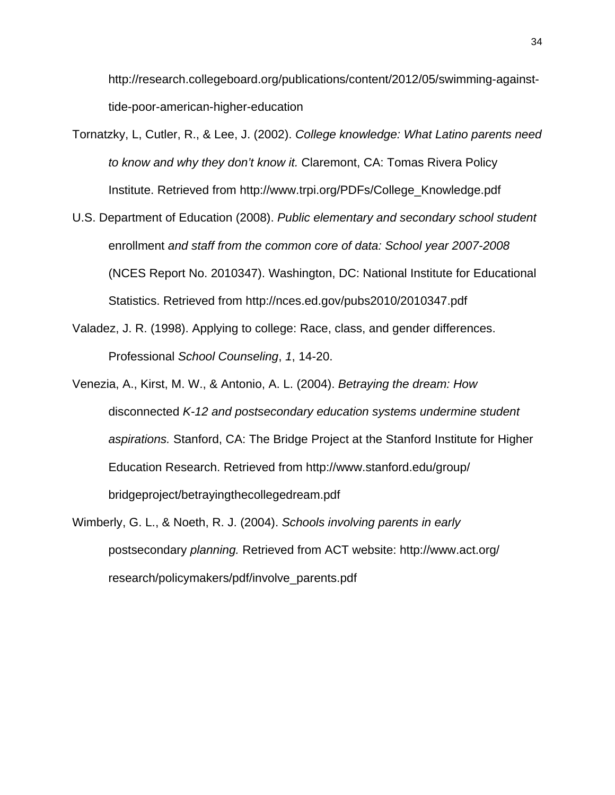http://research.collegeboard.org/publications/content/2012/05/swimming-againsttide-poor-american-higher-education

- Tornatzky, L, Cutler, R., & Lee, J. (2002). *College knowledge: What Latino parents need to know and why they don't know it.* Claremont, CA: Tomas Rivera Policy Institute. Retrieved from http://www.trpi.org/PDFs/College\_Knowledge.pdf
- U.S. Department of Education (2008). *Public elementary and secondary school student*  enrollment *and staff from the common core of data: School year 2007-2008* (NCES Report No. 2010347). Washington, DC: National Institute for Educational Statistics. Retrieved from http://nces.ed.gov/pubs2010/2010347.pdf
- Valadez, J. R. (1998). Applying to college: Race, class, and gender differences. Professional *School Counseling*, *1*, 14-20.
- Venezia, A., Kirst, M. W., & Antonio, A. L. (2004). *Betraying the dream: How*  disconnected *K-12 and postsecondary education systems undermine student aspirations.* Stanford, CA: The Bridge Project at the Stanford Institute for Higher Education Research. Retrieved from http://www.stanford.edu/group/ bridgeproject/betrayingthecollegedream.pdf
- Wimberly, G. L., & Noeth, R. J. (2004). *Schools involving parents in early*  postsecondary *planning.* Retrieved from ACT website: http://www.act.org/ research/policymakers/pdf/involve\_parents.pdf